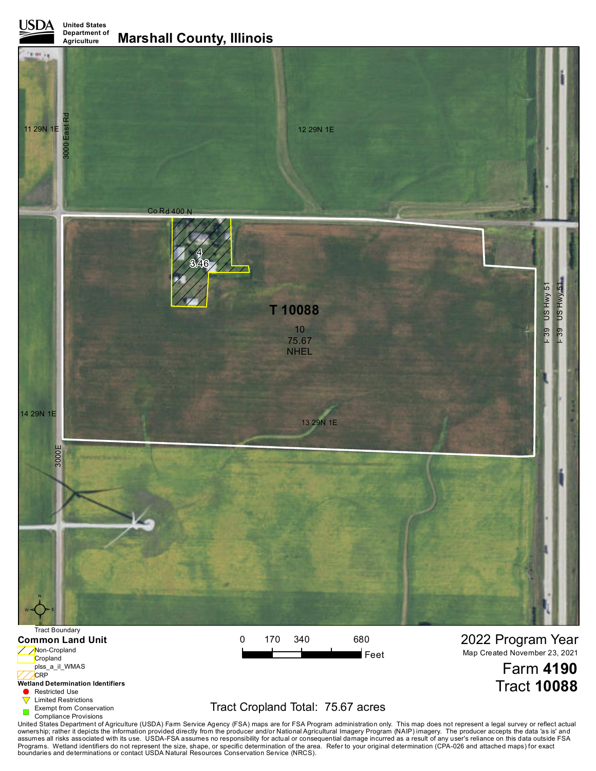**United States Department of**



Cropland plss\_a\_il\_WMAS **CRP** 

## **Wetland Determination Identifiers**

**Restricted Use** 

 $\blacktriangledown$ Limited Restrictions

Exempt from Conservation Compliance Provisions

# Tract Cropland Total: 75.67 acres

Farm **4190**

Tract **10088**

United States Department of Agriculture (USDA) Farm Service Agency (FSA) maps are for FSA Program administration only. This map does not represent a legal survey or reflect actual<br>ownership; rather it depicts the informati boundaries and determinations or contact USDA Natural Resources Conservation Service (NRCS).